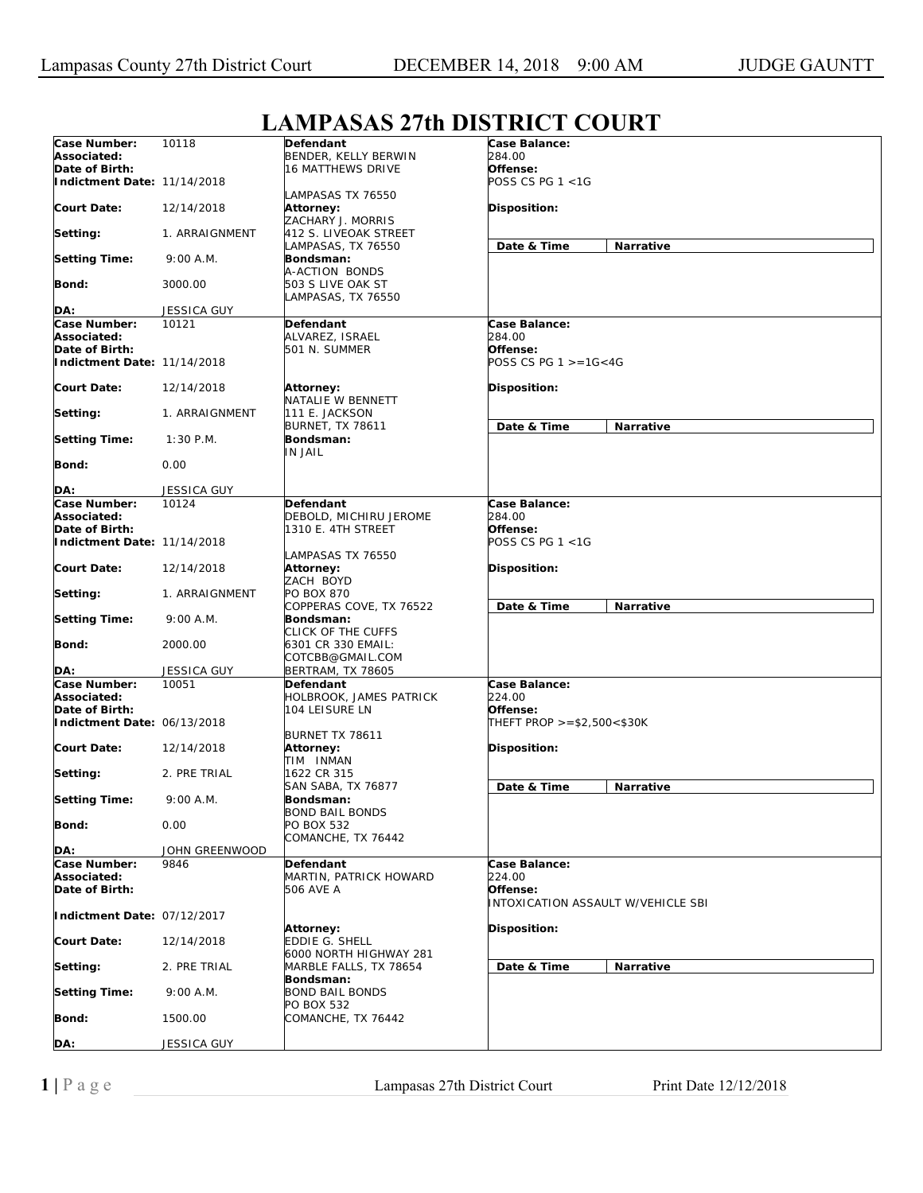| Case Number:                | 10118              | Defendant                 | Case Balance:                      |
|-----------------------------|--------------------|---------------------------|------------------------------------|
| Associated:                 |                    | BENDER, KELLY BERWIN      | 284.00                             |
| Date of Birth:              |                    | <b>16 MATTHEWS DRIVE</b>  | Offense:                           |
|                             |                    |                           | POSS CS PG 1 <1G                   |
| Indictment Date: 11/14/2018 |                    |                           |                                    |
|                             |                    | LAMPASAS TX 76550         |                                    |
| Court Date:                 | 12/14/2018         | Attorney:                 | Disposition:                       |
|                             |                    | ZACHARY J. MORRIS         |                                    |
| Setting:                    | 1. ARRAIGNMENT     | 412 S. LIVEOAK STREET     |                                    |
|                             |                    |                           |                                    |
|                             |                    | LAMPASAS, TX 76550        | Date & Time<br>Narrative           |
| <b>Setting Time:</b>        | 9:00 A.M.          | Bondsman:                 |                                    |
|                             |                    | A-ACTION BONDS            |                                    |
| Bond:                       | 3000.00            | 503 S LIVE OAK ST         |                                    |
|                             |                    | LAMPASAS, TX 76550        |                                    |
|                             |                    |                           |                                    |
| DA:                         | <b>JESSICA GUY</b> |                           |                                    |
| Case Number:                | 10121              | Defendant                 | Case Balance:                      |
| Associated:                 |                    | ALVAREZ, ISRAEL           | 284.00                             |
| Date of Birth:              |                    | 501 N. SUMMER             | Offense:                           |
|                             |                    |                           |                                    |
| Indictment Date: 11/14/2018 |                    |                           | POSS CS PG $1 > = 16 < 4G$         |
|                             |                    |                           |                                    |
| <b>Court Date:</b>          | 12/14/2018         | <b>Attorney:</b>          | Disposition:                       |
|                             |                    | NATALIE W BENNETT         |                                    |
|                             |                    |                           |                                    |
| Setting:                    | 1. ARRAIGNMENT     | 111 E. JACKSON            |                                    |
|                             |                    | <b>BURNET, TX 78611</b>   | Date & Time<br>Narrative           |
| <b>Setting Time:</b>        | $1:30$ P.M.        | Bondsman:                 |                                    |
|                             |                    | <b>IN JAIL</b>            |                                    |
| <b>Bond:</b>                | 0.00               |                           |                                    |
|                             |                    |                           |                                    |
|                             |                    |                           |                                    |
| DA:                         | JESSICA GUY        |                           |                                    |
| Case Number:                | 10124              | Defendant                 | Case Balance:                      |
| Associated:                 |                    | DEBOLD, MICHIRU JEROME    | 284.00                             |
| Date of Birth:              |                    |                           | Offense:                           |
|                             |                    | 1310 E. 4TH STREET        |                                    |
| Indictment Date: 11/14/2018 |                    |                           | POSS CS PG 1 <1G                   |
|                             |                    | LAMPASAS TX 76550         |                                    |
| <b>Court Date:</b>          | 12/14/2018         | Attorney:                 | Disposition:                       |
|                             |                    | ZACH BOYD                 |                                    |
|                             |                    |                           |                                    |
| Setting:                    | 1. ARRAIGNMENT     | PO BOX 870                |                                    |
|                             |                    | COPPERAS COVE, TX 76522   | Date & Time<br>Narrative           |
| <b>Setting Time:</b>        | 9:00 A.M.          | Bondsman:                 |                                    |
|                             |                    | CLICK OF THE CUFFS        |                                    |
| <b>Bond:</b>                | 2000.00            | 6301 CR 330 EMAIL:        |                                    |
|                             |                    |                           |                                    |
|                             |                    | COTCBB@GMAIL.COM          |                                    |
| DA:                         | <b>JESSICA GUY</b> | <b>BERTRAM, TX 78605</b>  |                                    |
| Case Number:                | 10051              | Defendant                 | Case Balance:                      |
| Associated:                 |                    | HOLBROOK, JAMES PATRICK   | 224.00                             |
| Date of Birth:              |                    | 104 LEISURE LN            | Offense:                           |
|                             |                    |                           |                                    |
| Indictment Date: 06/13/2018 |                    |                           | THEFT PROP >=\$2,500<\$30K         |
|                             |                    | BURNET TX 78611           |                                    |
| <b>Court Date:</b>          | 12/14/2018         | Attorney:                 | Disposition:                       |
|                             |                    | TIM INMAN                 |                                    |
| Setting:                    | 2. PRE TRIAL       | 1622 CR 315               |                                    |
|                             |                    |                           |                                    |
|                             |                    | <b>SAN SABA, TX 76877</b> | Date & Time<br>Narrative           |
| <b>Setting Time:</b>        | 9:00 A.M.          | Bondsman:                 |                                    |
|                             |                    | <b>BOND BAIL BONDS</b>    |                                    |
| <b>Bond:</b>                | 0.00               | PO BOX 532                |                                    |
|                             |                    | COMANCHE, TX 76442        |                                    |
|                             |                    |                           |                                    |
| DA:                         | JOHN GREENWOOD     |                           |                                    |
| Case Number:                | 9846               | Defendant                 | Case Balance:                      |
| Associated:                 |                    | MARTIN, PATRICK HOWARD    | 224.00                             |
| Date of Birth:              |                    | 506 AVE A                 | Offense:                           |
|                             |                    |                           | INTOXICATION ASSAULT W/VEHICLE SBI |
|                             |                    |                           |                                    |
| Indictment Date: 07/12/2017 |                    |                           |                                    |
|                             |                    | <b>Attorney:</b>          | Disposition:                       |
| <b>Court Date:</b>          | 12/14/2018         | EDDIE G. SHELL            |                                    |
|                             |                    | 6000 NORTH HIGHWAY 281    |                                    |
|                             |                    |                           |                                    |
| Setting:                    | 2. PRE TRIAL       | MARBLE FALLS, TX 78654    | Date & Time<br>Narrative           |
|                             |                    | Bondsman:                 |                                    |
| <b>Setting Time:</b>        | 9:00 A.M.          | <b>BOND BAIL BONDS</b>    |                                    |
|                             |                    | PO BOX 532                |                                    |
| Bond:                       | 1500.00            | COMANCHE, TX 76442        |                                    |
|                             |                    |                           |                                    |
|                             |                    |                           |                                    |
| DA:                         | JESSICA GUY        |                           |                                    |

## **LAMPASAS 27th DISTRICT COURT**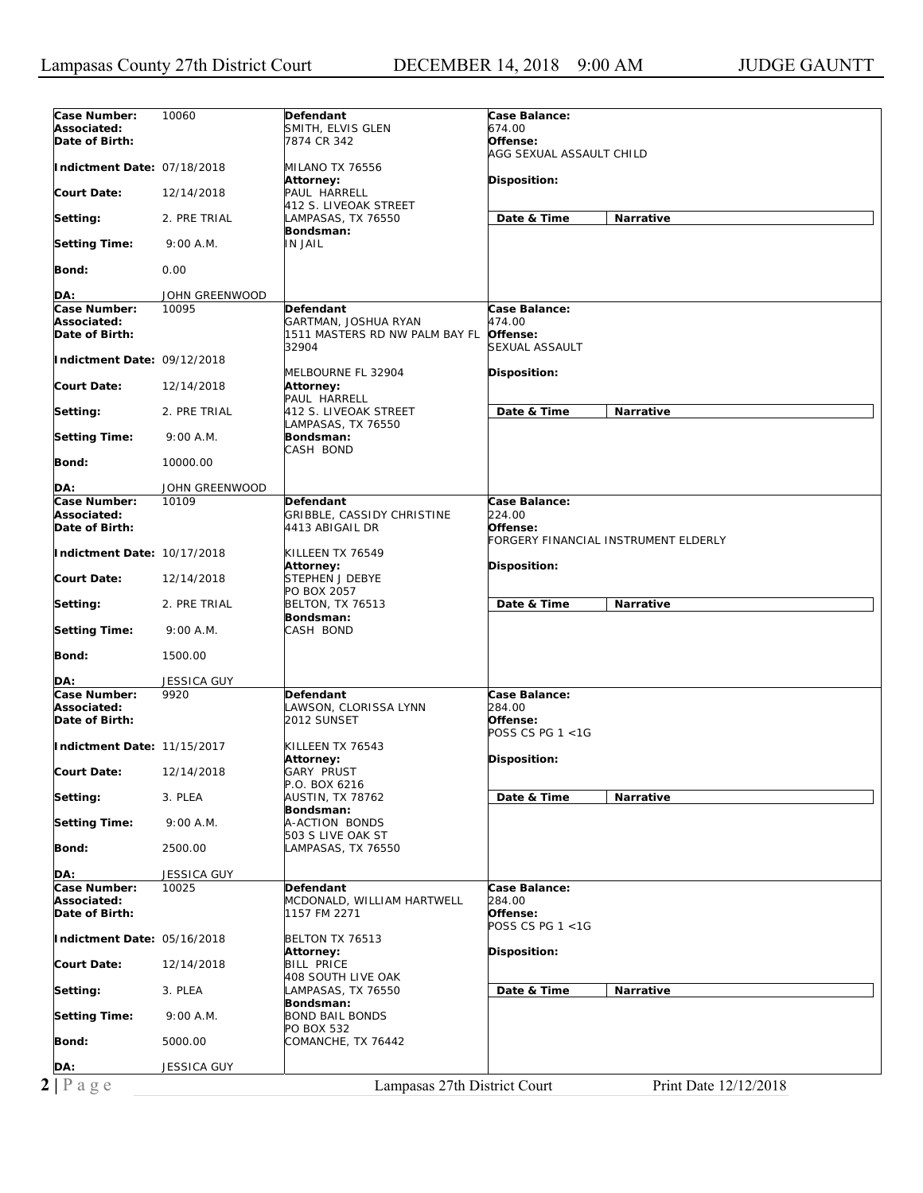| Case Number:<br>Associated:<br>Date of Birth:<br>Indictment Date: 07/18/2018<br>Court Date:<br>Setting:<br><b>Setting Time:</b>                                                                                            | 10060<br>12/14/2018<br>2. PRE TRIAL<br>9:00 A.M. | Defendant<br>SMITH, ELVIS GLEN<br>7874 CR 342<br>MILANO TX 76556<br>Attorney:<br>PAUL HARRELL<br>412 S. LIVEOAK STREET<br>LAMPASAS, TX 76550<br>Bondsman:<br>IN JAIL | Case Balance:<br>674.00<br>Offense:<br>AGG SEXUAL ASSAULT CHILD<br>Disposition:<br>Date & Time<br>Narrative |
|----------------------------------------------------------------------------------------------------------------------------------------------------------------------------------------------------------------------------|--------------------------------------------------|----------------------------------------------------------------------------------------------------------------------------------------------------------------------|-------------------------------------------------------------------------------------------------------------|
|                                                                                                                                                                                                                            |                                                  |                                                                                                                                                                      |                                                                                                             |
|                                                                                                                                                                                                                            |                                                  |                                                                                                                                                                      |                                                                                                             |
|                                                                                                                                                                                                                            |                                                  |                                                                                                                                                                      |                                                                                                             |
|                                                                                                                                                                                                                            |                                                  |                                                                                                                                                                      |                                                                                                             |
|                                                                                                                                                                                                                            |                                                  |                                                                                                                                                                      |                                                                                                             |
|                                                                                                                                                                                                                            |                                                  |                                                                                                                                                                      |                                                                                                             |
|                                                                                                                                                                                                                            |                                                  |                                                                                                                                                                      |                                                                                                             |
|                                                                                                                                                                                                                            |                                                  |                                                                                                                                                                      |                                                                                                             |
|                                                                                                                                                                                                                            |                                                  |                                                                                                                                                                      |                                                                                                             |
|                                                                                                                                                                                                                            |                                                  |                                                                                                                                                                      |                                                                                                             |
|                                                                                                                                                                                                                            |                                                  |                                                                                                                                                                      |                                                                                                             |
|                                                                                                                                                                                                                            |                                                  |                                                                                                                                                                      |                                                                                                             |
|                                                                                                                                                                                                                            |                                                  |                                                                                                                                                                      |                                                                                                             |
|                                                                                                                                                                                                                            |                                                  |                                                                                                                                                                      |                                                                                                             |
| Bond:                                                                                                                                                                                                                      | 0.00                                             |                                                                                                                                                                      |                                                                                                             |
|                                                                                                                                                                                                                            |                                                  |                                                                                                                                                                      |                                                                                                             |
| DA:                                                                                                                                                                                                                        | JOHN GREENWOOD                                   |                                                                                                                                                                      |                                                                                                             |
|                                                                                                                                                                                                                            |                                                  |                                                                                                                                                                      |                                                                                                             |
| Case Number:                                                                                                                                                                                                               | 10095                                            | Defendant                                                                                                                                                            | Case Balance:                                                                                               |
| Associated:                                                                                                                                                                                                                |                                                  | GARTMAN, JOSHUA RYAN                                                                                                                                                 | 474.00                                                                                                      |
| Date of Birth:                                                                                                                                                                                                             |                                                  | 1511 MASTERS RD NW PALM BAY FL                                                                                                                                       | Offense:                                                                                                    |
|                                                                                                                                                                                                                            |                                                  | 32904                                                                                                                                                                | SEXUAL ASSAULT                                                                                              |
| Indictment Date: 09/12/2018                                                                                                                                                                                                |                                                  |                                                                                                                                                                      |                                                                                                             |
|                                                                                                                                                                                                                            |                                                  | MELBOURNE FL 32904                                                                                                                                                   | <b>Disposition:</b>                                                                                         |
|                                                                                                                                                                                                                            |                                                  |                                                                                                                                                                      |                                                                                                             |
| Court Date:                                                                                                                                                                                                                | 12/14/2018                                       | Attorney:                                                                                                                                                            |                                                                                                             |
|                                                                                                                                                                                                                            |                                                  | PAUL HARRELL                                                                                                                                                         |                                                                                                             |
| Setting:                                                                                                                                                                                                                   | 2. PRE TRIAL                                     | 412 S. LIVEOAK STREET                                                                                                                                                | Date & Time<br><b>Narrative</b>                                                                             |
|                                                                                                                                                                                                                            |                                                  | LAMPASAS, TX 76550                                                                                                                                                   |                                                                                                             |
| <b>Setting Time:</b>                                                                                                                                                                                                       | 9:00 A.M.                                        | Bondsman:                                                                                                                                                            |                                                                                                             |
|                                                                                                                                                                                                                            |                                                  | CASH BOND                                                                                                                                                            |                                                                                                             |
|                                                                                                                                                                                                                            |                                                  |                                                                                                                                                                      |                                                                                                             |
| <b>Bond:</b>                                                                                                                                                                                                               | 10000.00                                         |                                                                                                                                                                      |                                                                                                             |
|                                                                                                                                                                                                                            |                                                  |                                                                                                                                                                      |                                                                                                             |
| DA:                                                                                                                                                                                                                        | JOHN GREENWOOD                                   |                                                                                                                                                                      |                                                                                                             |
| Case Number:                                                                                                                                                                                                               | 10109                                            | Defendant                                                                                                                                                            | Case Balance:                                                                                               |
| Associated:                                                                                                                                                                                                                |                                                  | GRIBBLE, CASSIDY CHRISTINE                                                                                                                                           | 224.00                                                                                                      |
| Date of Birth:                                                                                                                                                                                                             |                                                  | 4413 ABIGAIL DR                                                                                                                                                      | Offense:                                                                                                    |
|                                                                                                                                                                                                                            |                                                  |                                                                                                                                                                      |                                                                                                             |
|                                                                                                                                                                                                                            |                                                  |                                                                                                                                                                      | FORGERY FINANCIAL INSTRUMENT ELDERLY                                                                        |
| Indictment Date: 10/17/2018                                                                                                                                                                                                |                                                  | KILLEEN TX 76549                                                                                                                                                     |                                                                                                             |
|                                                                                                                                                                                                                            |                                                  | Attorney:                                                                                                                                                            | Disposition:                                                                                                |
| Court Date:                                                                                                                                                                                                                | 12/14/2018                                       | STEPHEN J DEBYE                                                                                                                                                      |                                                                                                             |
|                                                                                                                                                                                                                            |                                                  | PO BOX 2057                                                                                                                                                          |                                                                                                             |
| Setting:                                                                                                                                                                                                                   | 2. PRE TRIAL                                     | <b>BELTON, TX 76513</b>                                                                                                                                              | Date & Time<br>Narrative                                                                                    |
|                                                                                                                                                                                                                            |                                                  | Bondsman:                                                                                                                                                            |                                                                                                             |
|                                                                                                                                                                                                                            |                                                  |                                                                                                                                                                      |                                                                                                             |
| <b>Setting Time:</b>                                                                                                                                                                                                       |                                                  |                                                                                                                                                                      |                                                                                                             |
|                                                                                                                                                                                                                            | 9:00 A.M.                                        | CASH BOND                                                                                                                                                            |                                                                                                             |
|                                                                                                                                                                                                                            |                                                  |                                                                                                                                                                      |                                                                                                             |
|                                                                                                                                                                                                                            | 1500.00                                          |                                                                                                                                                                      |                                                                                                             |
| Bond:                                                                                                                                                                                                                      |                                                  |                                                                                                                                                                      |                                                                                                             |
|                                                                                                                                                                                                                            |                                                  |                                                                                                                                                                      |                                                                                                             |
| DA:                                                                                                                                                                                                                        | JESSICA GUY                                      |                                                                                                                                                                      |                                                                                                             |
| Case Number:                                                                                                                                                                                                               | 9920                                             | Defendant                                                                                                                                                            | Case Balance:                                                                                               |
|                                                                                                                                                                                                                            |                                                  | LAWSON, CLORISSA LYNN                                                                                                                                                | 284.00                                                                                                      |
|                                                                                                                                                                                                                            |                                                  | 2012 SUNSET                                                                                                                                                          | Offense:                                                                                                    |
|                                                                                                                                                                                                                            |                                                  |                                                                                                                                                                      | POSS CS PG 1 <1G                                                                                            |
|                                                                                                                                                                                                                            |                                                  | KILLEEN TX 76543                                                                                                                                                     |                                                                                                             |
|                                                                                                                                                                                                                            |                                                  | Attorney:                                                                                                                                                            |                                                                                                             |
|                                                                                                                                                                                                                            |                                                  |                                                                                                                                                                      | Disposition:                                                                                                |
|                                                                                                                                                                                                                            | 12/14/2018                                       | <b>GARY PRUST</b>                                                                                                                                                    |                                                                                                             |
|                                                                                                                                                                                                                            |                                                  | P.O. BOX 6216                                                                                                                                                        |                                                                                                             |
|                                                                                                                                                                                                                            | 3. PLEA                                          | <b>AUSTIN, TX 78762</b>                                                                                                                                              | Date & Time<br>Narrative                                                                                    |
|                                                                                                                                                                                                                            |                                                  | Bondsman:                                                                                                                                                            |                                                                                                             |
|                                                                                                                                                                                                                            | 9:00 A.M.                                        | A-ACTION BONDS                                                                                                                                                       |                                                                                                             |
|                                                                                                                                                                                                                            |                                                  | 503 S LIVE OAK ST                                                                                                                                                    |                                                                                                             |
|                                                                                                                                                                                                                            | 2500.00                                          | LAMPASAS, TX 76550                                                                                                                                                   |                                                                                                             |
|                                                                                                                                                                                                                            |                                                  |                                                                                                                                                                      |                                                                                                             |
| Indictment Date: 11/15/2017                                                                                                                                                                                                |                                                  |                                                                                                                                                                      |                                                                                                             |
| DA:                                                                                                                                                                                                                        | <b>JESSICA GUY</b>                               |                                                                                                                                                                      |                                                                                                             |
|                                                                                                                                                                                                                            | 10025                                            | Defendant                                                                                                                                                            | Case Balance:                                                                                               |
|                                                                                                                                                                                                                            |                                                  | MCDONALD, WILLIAM HARTWELL                                                                                                                                           | 284.00                                                                                                      |
| Date of Birth:                                                                                                                                                                                                             |                                                  | 1157 FM 2271                                                                                                                                                         | Offense:                                                                                                    |
|                                                                                                                                                                                                                            |                                                  |                                                                                                                                                                      | POSS CS PG 1 <1G                                                                                            |
|                                                                                                                                                                                                                            |                                                  | BELTON TX 76513                                                                                                                                                      |                                                                                                             |
|                                                                                                                                                                                                                            |                                                  |                                                                                                                                                                      |                                                                                                             |
|                                                                                                                                                                                                                            |                                                  | Attorney:                                                                                                                                                            | Disposition:                                                                                                |
|                                                                                                                                                                                                                            | 12/14/2018                                       | <b>BILL PRICE</b>                                                                                                                                                    |                                                                                                             |
|                                                                                                                                                                                                                            |                                                  | 408 SOUTH LIVE OAK                                                                                                                                                   |                                                                                                             |
|                                                                                                                                                                                                                            | 3. PLEA                                          | LAMPASAS, TX 76550                                                                                                                                                   | Date & Time<br>Narrative                                                                                    |
|                                                                                                                                                                                                                            |                                                  | Bondsman:                                                                                                                                                            |                                                                                                             |
|                                                                                                                                                                                                                            | 9:00 A.M.                                        | <b>BOND BAIL BONDS</b>                                                                                                                                               |                                                                                                             |
|                                                                                                                                                                                                                            |                                                  |                                                                                                                                                                      |                                                                                                             |
|                                                                                                                                                                                                                            |                                                  | PO BOX 532                                                                                                                                                           |                                                                                                             |
| Associated:<br>Date of Birth:<br><b>Court Date:</b><br>Setting:<br><b>Setting Time:</b><br>Bond:<br>Case Number:<br>Associated:<br>Indictment Date: 05/16/2018<br>Court Date:<br>Setting:<br><b>Setting Time:</b><br>Bond: | 5000.00                                          | COMANCHE, TX 76442                                                                                                                                                   |                                                                                                             |
|                                                                                                                                                                                                                            |                                                  |                                                                                                                                                                      |                                                                                                             |
| DA:                                                                                                                                                                                                                        | <b>JESSICA GUY</b>                               |                                                                                                                                                                      |                                                                                                             |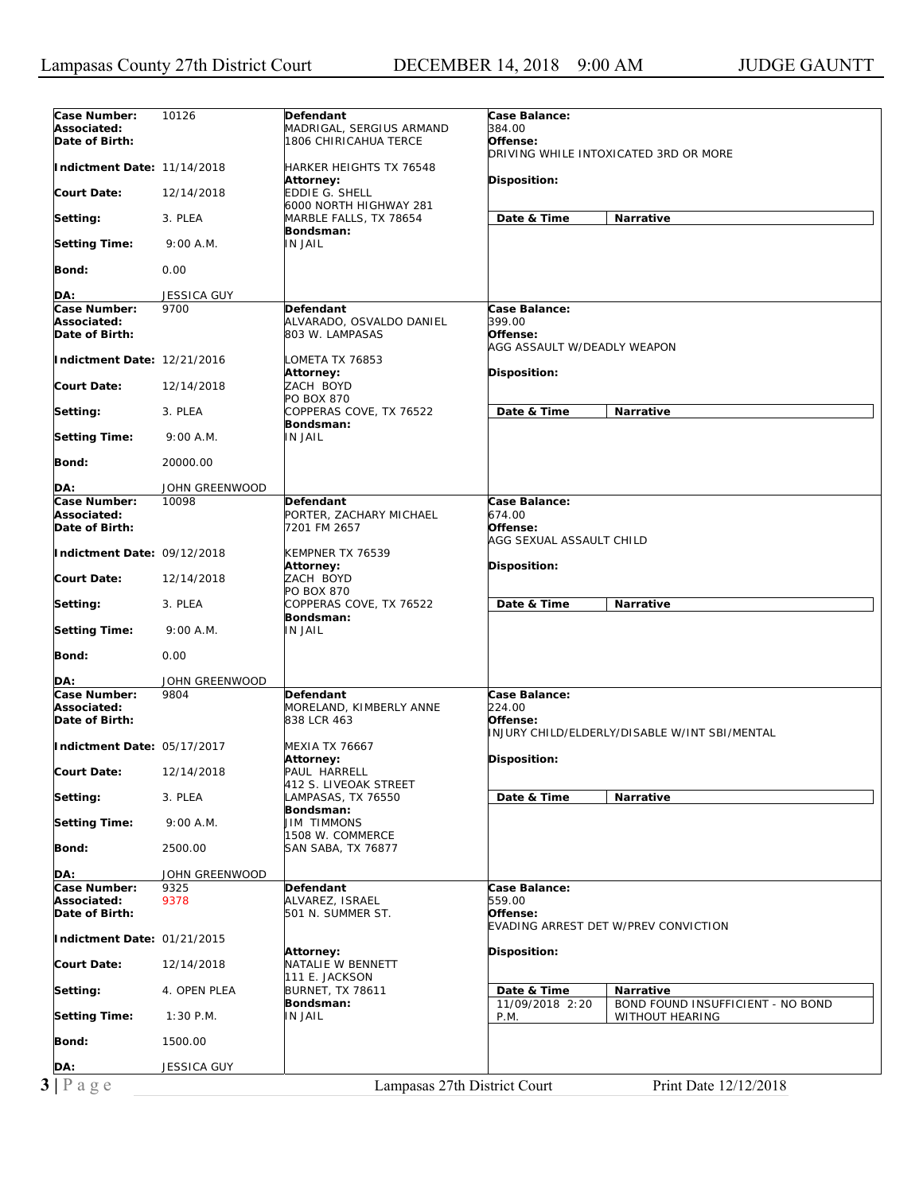| Case Number:<br>Associated:                   | 10126              | Defendant<br>MADRIGAL, SERGIUS ARMAND                    | Case Balance:<br>384.00<br>Offense:                                                  |
|-----------------------------------------------|--------------------|----------------------------------------------------------|--------------------------------------------------------------------------------------|
| Date of Birth:                                |                    | 1806 CHIRICAHUA TERCE                                    | DRIVING WHILE INTOXICATED 3RD OR MORE                                                |
| Indictment Date: 11/14/2018                   |                    | HARKER HEIGHTS TX 76548<br>Attorney:                     | Disposition:                                                                         |
| Court Date:                                   | 12/14/2018         | <b>EDDIE G. SHELL</b><br>6000 NORTH HIGHWAY 281          |                                                                                      |
| Setting:                                      | 3. PLEA            | MARBLE FALLS, TX 78654<br>Bondsman:                      | Date & Time<br>Narrative                                                             |
| <b>Setting Time:</b>                          | 9:00 A.M.          | <b>IN JAIL</b>                                           |                                                                                      |
| Bond:                                         | 0.00               |                                                          |                                                                                      |
| DA:                                           | <b>JESSICA GUY</b> |                                                          |                                                                                      |
| Case Number:<br>Associated:<br>Date of Birth: | 9700               | Defendant<br>ALVARADO, OSVALDO DANIEL<br>803 W. LAMPASAS | Case Balance:<br>399.00<br>Offense:                                                  |
| Indictment Date: 12/21/2016                   |                    | LOMETA TX 76853                                          | AGG ASSAULT W/DEADLY WEAPON                                                          |
| Court Date:                                   | 12/14/2018         | Attorney:<br>ZACH BOYD                                   | <b>Disposition:</b>                                                                  |
| Setting:                                      | 3. PLEA            | PO BOX 870<br>COPPERAS COVE, TX 76522<br>Bondsman:       | Date & Time<br><b>Narrative</b>                                                      |
| <b>Setting Time:</b>                          | 9:00 A.M.          | IN JAIL                                                  |                                                                                      |
| <b>Bond:</b>                                  | 20000.00           |                                                          |                                                                                      |
| DA:                                           | JOHN GREENWOOD     |                                                          |                                                                                      |
| Case Number:                                  | 10098              | <b>Defendant</b>                                         | Case Balance:<br>674.00                                                              |
| Associated:<br>Date of Birth:                 |                    | PORTER, ZACHARY MICHAEL<br>7201 FM 2657                  | Offense:<br>AGG SEXUAL ASSAULT CHILD                                                 |
| Indictment Date: 09/12/2018                   |                    | KEMPNER TX 76539<br>Attorney:                            | <b>Disposition:</b>                                                                  |
| Court Date:                                   | 12/14/2018         | ZACH BOYD<br>PO BOX 870                                  |                                                                                      |
| Setting:                                      | 3. PLEA            | COPPERAS COVE, TX 76522<br>Bondsman:                     | Date & Time<br>Narrative                                                             |
| <b>Setting Time:</b>                          | 9:00 A.M.          | IN JAIL                                                  |                                                                                      |
| Bond:                                         | 0.00               |                                                          |                                                                                      |
| DA:                                           | JOHN GREENWOOD     |                                                          |                                                                                      |
| Case Number:<br>Associated:<br>Date of Birth: | 9804               | Defendant<br>MORELAND, KIMBERLY ANNE<br>838 LCR 463      | Case Balance:<br>224.00<br>Offense:<br>INJURY CHILD/ELDERLY/DISABLE W/INT SBI/MENTAL |
| Indictment Date: 05/17/2017                   |                    | MEXIA TX 76667<br>Attorney:                              | Disposition:                                                                         |
| Court Date:                                   | 12/14/2018         | PAUL HARRELL<br>412 S. LIVEOAK STREET                    |                                                                                      |
| Setting:                                      | 3. PLEA            | LAMPASAS, TX 76550<br>Bondsman:                          | Date & Time<br>Narrative                                                             |
| Setting Time:                                 | 9:00 A.M.          | <b>JIM TIMMONS</b><br>1508 W. COMMERCE                   |                                                                                      |
| Bond:                                         | 2500.00            | SAN SABA, TX 76877                                       |                                                                                      |
|                                               |                    |                                                          |                                                                                      |
| DA:                                           | JOHN GREENWOOD     |                                                          |                                                                                      |
| Case Number:                                  | 9325               | Defendant                                                | Case Balance:                                                                        |
| Associated:<br>Date of Birth:                 | 9378               | ALVAREZ, ISRAEL<br>501 N. SUMMER ST.                     | 559.00<br>Offense:<br>EVADING ARREST DET W/PREV CONVICTION                           |
| Indictment Date: 01/21/2015                   |                    | Attorney:                                                | <b>Disposition:</b>                                                                  |
| Court Date:                                   | 12/14/2018         | NATALIE W BENNETT<br>111 E. JACKSON                      |                                                                                      |
| Setting:                                      | 4. OPEN PLEA       | <b>BURNET, TX 78611</b>                                  | Date & Time<br><b>Narrative</b>                                                      |
| <b>Setting Time:</b>                          | $1:30$ P.M.        | Bondsman:<br>IN JAIL                                     | 11/09/2018 2:20<br>BOND FOUND INSUFFICIENT - NO BOND<br>P.M.<br>WITHOUT HEARING      |
| Bond:                                         | 1500.00            |                                                          |                                                                                      |
| DA:                                           | JESSICA GUY        |                                                          |                                                                                      |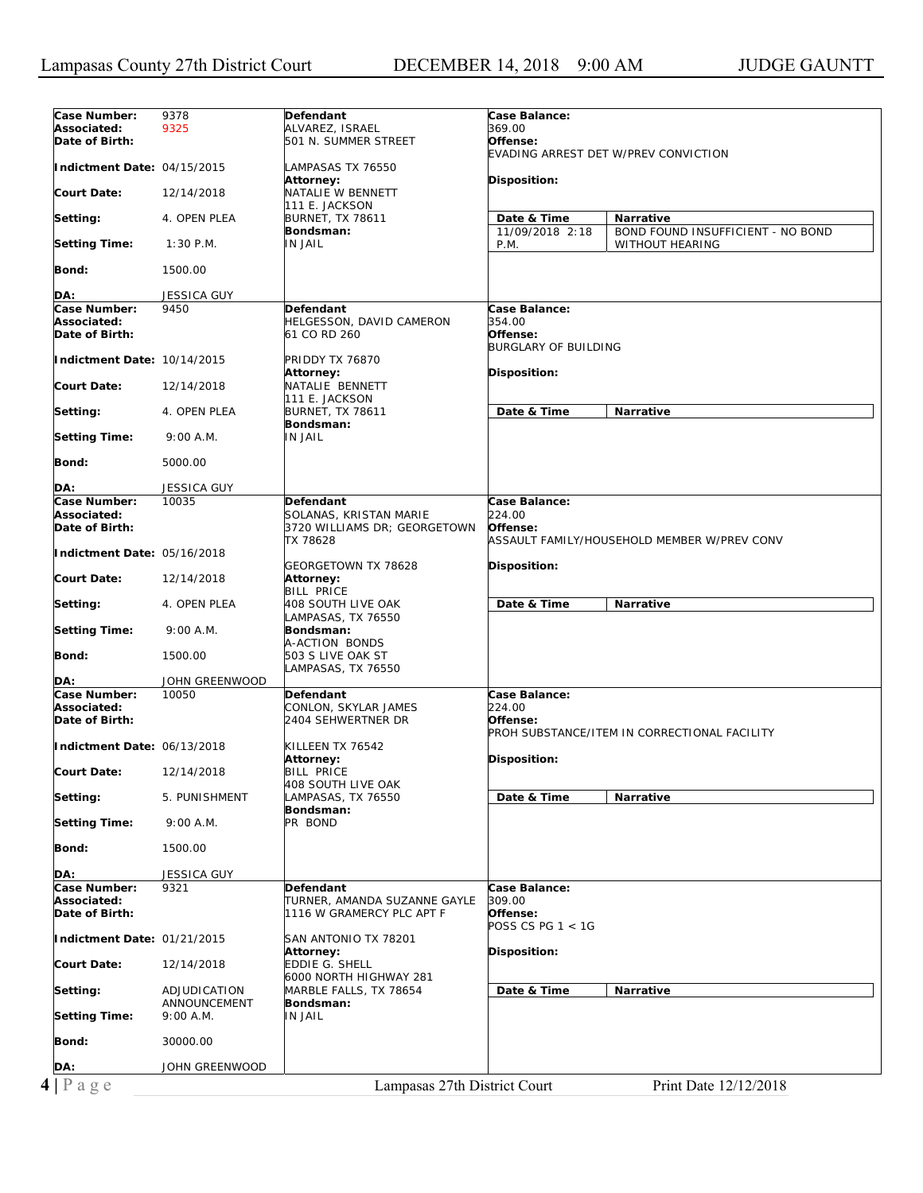| Case Number:                | 9378                         | Defendant                                | Case Balance:               |                                              |
|-----------------------------|------------------------------|------------------------------------------|-----------------------------|----------------------------------------------|
| Associated:                 | 9325                         | ALVAREZ, ISRAEL                          | 369.00                      |                                              |
| Date of Birth:              |                              | 501 N. SUMMER STREET                     | Offense:                    |                                              |
|                             |                              |                                          |                             | EVADING ARREST DET W/PREV CONVICTION         |
| Indictment Date: 04/15/2015 |                              | LAMPASAS TX 76550                        |                             |                                              |
| Court Date:                 |                              | Attorney:<br>NATALIE W BENNETT           | Disposition:                |                                              |
|                             | 12/14/2018                   | 111 E. JACKSON                           |                             |                                              |
| Setting:                    | 4. OPEN PLEA                 | <b>BURNET, TX 78611</b>                  | Date & Time                 | Narrative                                    |
|                             |                              | Bondsman:                                | 11/09/2018 2:18             | BOND FOUND INSUFFICIENT - NO BOND            |
| <b>Setting Time:</b>        | $1:30$ P.M.                  | <b>IN JAIL</b>                           | P.M.                        | WITHOUT HEARING                              |
|                             |                              |                                          |                             |                                              |
| Bond:                       | 1500.00                      |                                          |                             |                                              |
|                             |                              |                                          |                             |                                              |
| DA:                         | <b>JESSICA GUY</b>           |                                          |                             |                                              |
| Case Number:                | 9450                         | <b>Defendant</b>                         | Case Balance:               |                                              |
| Associated:                 |                              | HELGESSON, DAVID CAMERON                 | 354.00                      |                                              |
| Date of Birth:              |                              | 61 CO RD 260                             | Offense:                    |                                              |
|                             |                              |                                          | <b>BURGLARY OF BUILDING</b> |                                              |
| Indictment Date: 10/14/2015 |                              | <b>PRIDDY TX 76870</b>                   |                             |                                              |
| <b>Court Date:</b>          |                              | Attorney:<br>NATALIE BENNETT             | Disposition:                |                                              |
|                             | 12/14/2018                   | 111 E. JACKSON                           |                             |                                              |
| Setting:                    | 4. OPEN PLEA                 | <b>BURNET, TX 78611</b>                  | Date & Time                 | Narrative                                    |
|                             |                              | Bondsman:                                |                             |                                              |
| <b>Setting Time:</b>        | 9:00 A.M.                    | <b>IN JAIL</b>                           |                             |                                              |
|                             |                              |                                          |                             |                                              |
| Bond:                       | 5000.00                      |                                          |                             |                                              |
|                             |                              |                                          |                             |                                              |
| DA:                         | <b>JESSICA GUY</b>           |                                          |                             |                                              |
| Case Number:                | 10035                        | <b>Defendant</b>                         | Case Balance:               |                                              |
| Associated:                 |                              | SOLANAS, KRISTAN MARIE                   | 224.00                      |                                              |
| Date of Birth:              |                              | 3720 WILLIAMS DR; GEORGETOWN             | Offense:                    |                                              |
|                             |                              | TX 78628                                 |                             | ASSAULT FAMILY/HOUSEHOLD MEMBER W/PREV CONV  |
| Indictment Date: 05/16/2018 |                              |                                          |                             |                                              |
| Court Date:                 |                              | GEORGETOWN TX 78628                      | Disposition:                |                                              |
|                             | 12/14/2018                   | Attorney:<br><b>BILL PRICE</b>           |                             |                                              |
| Setting:                    | 4. OPEN PLEA                 | 408 SOUTH LIVE OAK                       | Date & Time                 | Narrative                                    |
|                             |                              | LAMPASAS, TX 76550                       |                             |                                              |
| <b>Setting Time:</b>        | 9:00 A.M.                    | Bondsman:                                |                             |                                              |
|                             |                              | A-ACTION BONDS                           |                             |                                              |
| Bond:                       | 1500.00                      | 503 S LIVE OAK ST                        |                             |                                              |
|                             |                              | LAMPASAS, TX 76550                       |                             |                                              |
| DA:                         | JOHN GREENWOOD               |                                          |                             |                                              |
| Case Number:                | 10050                        | Defendant                                | Case Balance:               |                                              |
| Associated:                 |                              | CONLON, SKYLAR JAMES                     | 224.00                      |                                              |
| Date of Birth:              |                              | 2404 SEHWERTNER DR                       | Offense:                    | PROH SUBSTANCE/ITEM IN CORRECTIONAL FACILITY |
| Indictment Date: 06/13/2018 |                              | KILLEEN TX 76542                         |                             |                                              |
|                             |                              | Attorney:                                | Disposition:                |                                              |
| <b>Court Date:</b>          |                              |                                          |                             |                                              |
|                             |                              |                                          |                             |                                              |
|                             | 12/14/2018                   | <b>BILL PRICE</b>                        |                             |                                              |
| Setting:                    | 5. PUNISHMENT                | 408 SOUTH LIVE OAK<br>LAMPASAS, TX 76550 | Date & Time                 | Narrative                                    |
|                             |                              | Bondsman:                                |                             |                                              |
| <b>Setting Time:</b>        | 9:00 A.M.                    | PR BOND                                  |                             |                                              |
|                             |                              |                                          |                             |                                              |
| Bond:                       | 1500.00                      |                                          |                             |                                              |
|                             |                              |                                          |                             |                                              |
| DA:                         | <b>JESSICA GUY</b>           |                                          |                             |                                              |
| Case Number:                | 9321                         | <b>Defendant</b>                         | Case Balance:               |                                              |
| Associated:                 |                              | TURNER, AMANDA SUZANNE GAYLE             | 309.00                      |                                              |
| Date of Birth:              |                              | 1116 W GRAMERCY PLC APT F                | Offense:                    |                                              |
|                             |                              |                                          | POSS CS PG 1 < 1G           |                                              |
| Indictment Date: 01/21/2015 |                              | SAN ANTONIO TX 78201                     |                             |                                              |
|                             |                              | Attorney:                                | Disposition:                |                                              |
| <b>Court Date:</b>          | 12/14/2018                   | <b>EDDIE G. SHELL</b>                    |                             |                                              |
|                             |                              | 6000 NORTH HIGHWAY 281                   |                             |                                              |
| Setting:                    | ADJUDICATION<br>ANNOUNCEMENT | MARBLE FALLS, TX 78654<br>Bondsman:      | Date & Time                 | Narrative                                    |
| <b>Setting Time:</b>        | 9:00 A.M.                    | <b>IN JAIL</b>                           |                             |                                              |
|                             |                              |                                          |                             |                                              |
| Bond:                       | 30000.00                     |                                          |                             |                                              |
|                             |                              |                                          |                             |                                              |
| DA:                         | JOHN GREENWOOD               |                                          |                             |                                              |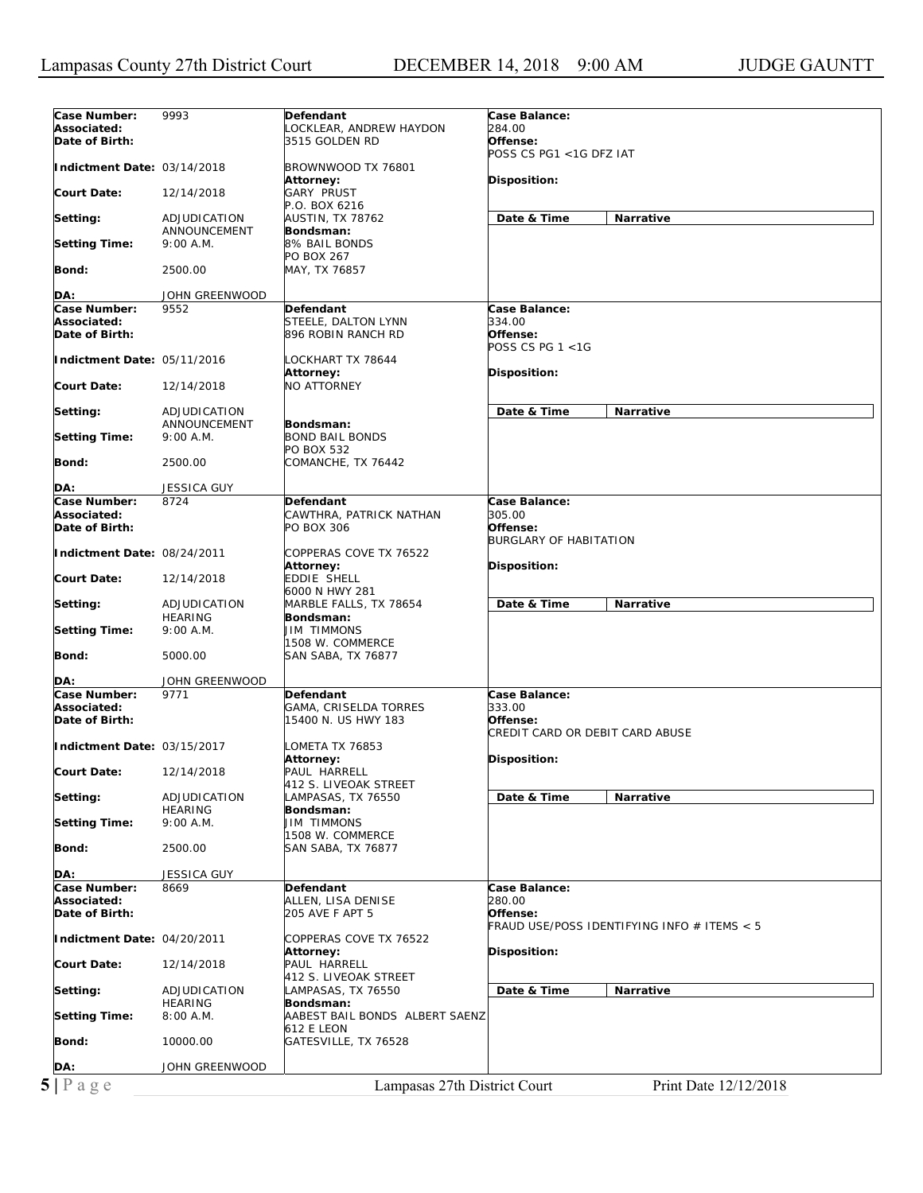| Case Number:                | 9993               | Defendant                      | Case Balance:                               |
|-----------------------------|--------------------|--------------------------------|---------------------------------------------|
| Associated:                 |                    | OCKLEAR, ANDREW HAYDON.        | 284.00                                      |
| Date of Birth:              |                    | 3515 GOLDEN RD                 | Offense:                                    |
|                             |                    |                                | POSS CS PG1 <1G DFZ IAT                     |
| Indictment Date: 03/14/2018 |                    | BROWNWOOD TX 76801             |                                             |
|                             |                    | Attorney:                      | Disposition:                                |
| <b>Court Date:</b>          | 12/14/2018         | <b>GARY PRUST</b>              |                                             |
|                             |                    | P.O. BOX 6216                  |                                             |
| Setting:                    | ADJUDICATION       | AUSTIN, TX 78762               | Date & Time<br><b>Narrative</b>             |
|                             | ANNOUNCEMENT       | Bondsman:                      |                                             |
| <b>Setting Time:</b>        | 9:00 A.M.          | 8% BAIL BONDS                  |                                             |
|                             |                    | <b>PO BOX 267</b>              |                                             |
| Bond:                       | 2500.00            | MAY, TX 76857                  |                                             |
|                             |                    |                                |                                             |
| DA:                         | JOHN GREENWOOD     |                                |                                             |
| Case Number:                | 9552               | Defendant                      | Case Balance:                               |
| Associated:                 |                    | STEELE, DALTON LYNN            | 334.00                                      |
| Date of Birth:              |                    | 896 ROBIN RANCH RD             | Offense:                                    |
|                             |                    |                                | POSS CS PG $1 < 1G$                         |
| Indictment Date: 05/11/2016 |                    | LOCKHART TX 78644              |                                             |
|                             |                    | Attorney:                      | Disposition:                                |
| <b>Court Date:</b>          | 12/14/2018         | <b>NO ATTORNEY</b>             |                                             |
|                             |                    |                                |                                             |
| Setting:                    | ADJUDICATION       |                                | Date & Time<br>Narrative                    |
|                             | ANNOUNCEMENT       | Bondsman:                      |                                             |
| <b>Setting Time:</b>        | 9:00 A.M.          | <b>BOND BAIL BONDS</b>         |                                             |
|                             |                    | PO BOX 532                     |                                             |
| Bond:                       | 2500.00            | COMANCHE, TX 76442             |                                             |
|                             |                    |                                |                                             |
| DA:                         | <b>JESSICA GUY</b> |                                |                                             |
| Case Number:                | 8724               | Defendant                      | Case Balance:                               |
| Associated:                 |                    | CAWTHRA, PATRICK NATHAN        | 305.00                                      |
| Date of Birth:              |                    | PO BOX 306                     | Offense:                                    |
|                             |                    |                                | <b>BURGLARY OF HABITATION</b>               |
| Indictment Date: 08/24/2011 |                    | COPPERAS COVE TX 76522         |                                             |
|                             |                    | Attorney:                      | Disposition:                                |
| <b>Court Date:</b>          | 12/14/2018         | EDDIE SHELL                    |                                             |
|                             |                    | 6000 N HWY 281                 |                                             |
| Setting:                    | ADJUDICATION       | MARBLE FALLS, TX 78654         | Date & Time<br>Narrative                    |
|                             | <b>HEARING</b>     | Bondsman:                      |                                             |
| <b>Setting Time:</b>        | 9:00 A.M.          | <b>JIM TIMMONS</b>             |                                             |
|                             |                    | 1508 W. COMMERCE               |                                             |
| Bond:                       | 5000.00            | SAN SABA, TX 76877             |                                             |
|                             |                    |                                |                                             |
| DA:                         | JOHN GREENWOOD     |                                |                                             |
| Case Number:                | 9771               | Defendant                      | Case Balance:                               |
| Associated:                 |                    | GAMA, CRISELDA TORRES          | 333.00                                      |
| Date of Birth:              |                    | 15400 N. US HWY 183            | Offense:                                    |
|                             |                    |                                | CREDIT CARD OR DEBIT CARD ABUSE             |
| Indictment Date: 03/15/2017 |                    | LOMETA TX 76853                |                                             |
|                             |                    | Attorney:                      | Disposition:                                |
| <b>Court Date:</b>          | 12/14/2018         | PAUL HARRELL                   |                                             |
|                             |                    | 412 S. LIVEOAK STREET          |                                             |
| Setting:                    | ADJUDICATION       | LAMPASAS, TX 76550             | Date & Time<br>Narrative                    |
|                             | <b>HEARING</b>     | Bondsman:                      |                                             |
| <b>Setting Time:</b>        | 9:00 A.M.          | <b>JIM TIMMONS</b>             |                                             |
|                             |                    | 1508 W. COMMERCE               |                                             |
| Bond:                       | 2500.00            | <b>SAN SABA, TX 76877</b>      |                                             |
|                             |                    |                                |                                             |
|                             |                    |                                |                                             |
| DA:                         | JESSICA GUY        |                                |                                             |
| Case Number:                | 8669               | Defendant                      | Case Balance:                               |
| Associated:                 |                    | ALLEN, LISA DENISE             | 280.00                                      |
| Date of Birth:              |                    | 205 AVE F APT 5                | Offense:                                    |
|                             |                    |                                | FRAUD USE/POSS IDENTIFYING INFO # ITEMS < 5 |
| Indictment Date: 04/20/2011 |                    | COPPERAS COVE TX 76522         |                                             |
|                             |                    | <b>Attorney:</b>               | Disposition:                                |
| <b>Court Date:</b>          | 12/14/2018         | PAUL HARRELL                   |                                             |
|                             |                    | 412 S. LIVEOAK STREET          |                                             |
| Setting:                    | ADJUDICATION       | LAMPASAS, TX 76550             | Date & Time<br>Narrative                    |
|                             | <b>HEARING</b>     | Bondsman:                      |                                             |
| <b>Setting Time:</b>        | 8:00A.M.           | AABEST BAIL BONDS ALBERT SAENZ |                                             |
|                             |                    | 612 E LEON                     |                                             |
| Bond:                       | 10000.00           | GATESVILLE, TX 76528           |                                             |
|                             |                    |                                |                                             |
| DA:                         | JOHN GREENWOOD     |                                |                                             |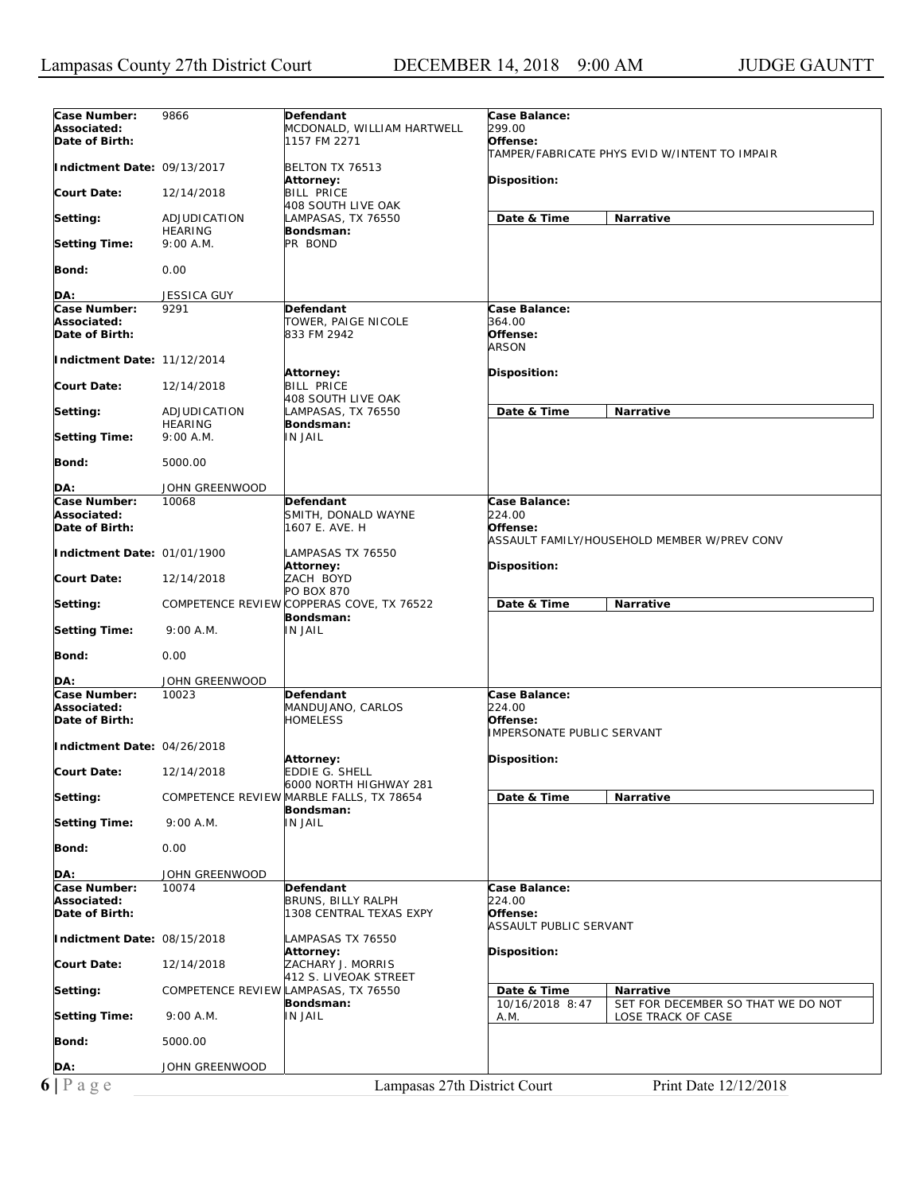| Case Number:                  | 9866                                 | Defendant                                              | Case Balance:                     |                                               |
|-------------------------------|--------------------------------------|--------------------------------------------------------|-----------------------------------|-----------------------------------------------|
| Associated:                   |                                      | MCDONALD, WILLIAM HARTWELL                             | 299.00                            |                                               |
| Date of Birth:                |                                      | 1157 FM 2271                                           | Offense:                          | TAMPER/FABRICATE PHYS EVID W/INTENT TO IMPAIR |
| Indictment Date: 09/13/2017   |                                      | BELTON TX 76513                                        |                                   |                                               |
|                               |                                      | Attorney:                                              | <b>Disposition:</b>               |                                               |
| Court Date:                   | 12/14/2018                           | <b>BILL PRICE</b><br>408 SOUTH LIVE OAK                |                                   |                                               |
| Setting:                      | ADJUDICATION                         | LAMPASAS, TX 76550                                     | Date & Time                       | Narrative                                     |
|                               | <b>HEARING</b>                       | Bondsman:                                              |                                   |                                               |
| <b>Setting Time:</b>          | 9:00 A.M.                            | PR BOND                                                |                                   |                                               |
| Bond:                         | 0.00                                 |                                                        |                                   |                                               |
|                               |                                      |                                                        |                                   |                                               |
| DA:<br>Case Number:           | <b>JESSICA GUY</b><br>9291           | Defendant                                              | Case Balance:                     |                                               |
| Associated:                   |                                      | TOWER, PAIGE NICOLE                                    | 364.00                            |                                               |
| Date of Birth:                |                                      | 833 FM 2942                                            | Offense:                          |                                               |
|                               |                                      |                                                        | <b>ARSON</b>                      |                                               |
| Indictment Date: 11/12/2014   |                                      |                                                        | Disposition:                      |                                               |
| Court Date:                   | 12/14/2018                           | Attorney:<br><b>BILL PRICE</b>                         |                                   |                                               |
|                               |                                      | 408 SOUTH LIVE OAK                                     |                                   |                                               |
| Setting:                      | ADJUDICATION                         | LAMPASAS, TX 76550                                     | Date & Time                       | <b>Narrative</b>                              |
|                               | <b>HEARING</b><br>9:00 A.M.          | Bondsman:<br>IN JAIL                                   |                                   |                                               |
| <b>Setting Time:</b>          |                                      |                                                        |                                   |                                               |
| Bond:                         | 5000.00                              |                                                        |                                   |                                               |
| DA:                           | JOHN GREENWOOD                       |                                                        |                                   |                                               |
| Case Number:                  | 10068                                | Defendant                                              | Case Balance:                     |                                               |
| Associated:                   |                                      | SMITH, DONALD WAYNE                                    | 224.00                            |                                               |
| Date of Birth:                |                                      | 1607 E. AVE. H                                         | Offense:                          |                                               |
|                               |                                      |                                                        |                                   | ASSAULT FAMILY/HOUSEHOLD MEMBER W/PREV CONV   |
| Indictment Date: 01/01/1900   |                                      | LAMPASAS TX 76550<br>Attorney:                         | <b>Disposition:</b>               |                                               |
| Court Date:                   | 12/14/2018                           | ZACH BOYD                                              |                                   |                                               |
|                               |                                      | PO BOX 870                                             |                                   |                                               |
| Setting:                      |                                      | COMPETENCE REVIEW COPPERAS COVE, TX 76522<br>Bondsman: | Date & Time                       | Narrative                                     |
| <b>Setting Time:</b>          | 9:00 A.M.                            | IN JAIL                                                |                                   |                                               |
|                               |                                      |                                                        |                                   |                                               |
| Bond:                         | 0.00                                 |                                                        |                                   |                                               |
| DA:                           | JOHN GREENWOOD                       |                                                        |                                   |                                               |
| Case Number:                  | 10023                                | Defendant                                              | Case Balance:                     |                                               |
| Associated:<br>Date of Birth: |                                      | MANDUJANO, CARLOS<br><b>HOMELESS</b>                   | 224.00<br>Offense:                |                                               |
|                               |                                      |                                                        | <b>IMPERSONATE PUBLIC SERVANT</b> |                                               |
| Indictment Date: 04/26/2018   |                                      |                                                        |                                   |                                               |
|                               |                                      | <b>Attorney:</b>                                       | Disposition:                      |                                               |
| Court Date:                   | 12/14/2018                           | EDDIE G. SHELL<br>6000 NORTH HIGHWAY 281               |                                   |                                               |
| Setting:                      |                                      | COMPETENCE REVIEW MARBLE FALLS, TX 78654               | Date & Time                       | Narrative                                     |
|                               |                                      | Bondsman:                                              |                                   |                                               |
| Setting Time:                 | 9:00 A.M.                            | IN JAIL                                                |                                   |                                               |
| Bond:                         | 0.00                                 |                                                        |                                   |                                               |
|                               |                                      |                                                        |                                   |                                               |
| DA:                           | JOHN GREENWOOD                       |                                                        |                                   |                                               |
| Case Number:<br>Associated:   | 10074                                | Defendant<br>BRUNS, BILLY RALPH                        | Case Balance:<br>224.00           |                                               |
| Date of Birth:                |                                      | 1308 CENTRAL TEXAS EXPY                                | Offense:                          |                                               |
|                               |                                      |                                                        | ASSAULT PUBLIC SERVANT            |                                               |
| Indictment Date: 08/15/2018   |                                      | LAMPASAS TX 76550                                      |                                   |                                               |
| Court Date:                   | 12/14/2018                           | Attorney:<br>ZACHARY J. MORRIS                         | Disposition:                      |                                               |
|                               |                                      | 412 S. LIVEOAK STREET                                  |                                   |                                               |
| Setting:                      | COMPETENCE REVIEW LAMPASAS, TX 76550 |                                                        | Date & Time                       | Narrative                                     |
|                               |                                      | Bondsman:                                              | 10/16/2018 8:47                   | SET FOR DECEMBER SO THAT WE DO NOT            |
| <b>Setting Time:</b>          | 9:00 A.M.                            | IN JAIL                                                | A.M.                              | LOSE TRACK OF CASE                            |
| <b>Bond:</b>                  | 5000.00                              |                                                        |                                   |                                               |
|                               |                                      |                                                        |                                   |                                               |
| DA:                           | JOHN GREENWOOD                       |                                                        |                                   |                                               |
| $6 P \text{ a } g e$          |                                      | Lampasas 27th District Court                           |                                   | Print Date 12/12/2018                         |